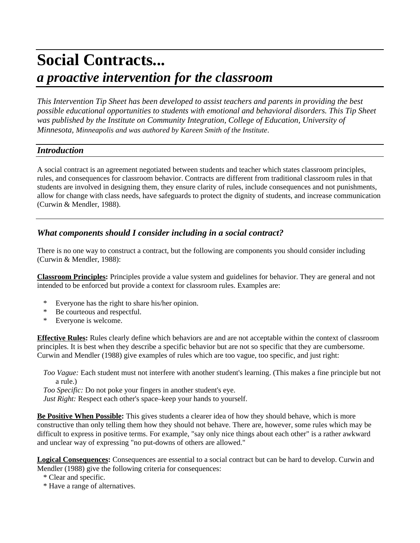# **Social Contracts...** *a proactive intervention for the classroom*

*This Intervention Tip Sheet has been developed to assist teachers and parents in providing the best possible educational opportunities to students with emotional and behavioral disorders. This Tip Sheet was published by the Institute on Community Integration, College of Education, University of Minnesota, Minneapolis and was authored by Kareen Smith of the Institute*.

#### *Introduction*

A social contract is an agreement negotiated between students and teacher which states classroom principles, rules, and consequences for classroom behavior. Contracts are different from traditional classroom rules in that students are involved in designing them, they ensure clarity of rules, include consequences and not punishments, allow for change with class needs, have safeguards to protect the dignity of students, and increase communication (Curwin & Mendler, 1988).

## *What components should I consider including in a social contract?*

There is no one way to construct a contract, but the following are components you should consider including (Curwin & Mendler, 1988):

**Classroom Principles:** Principles provide a value system and guidelines for behavior. They are general and not intended to be enforced but provide a context for classroom rules. Examples are:

- \* Everyone has the right to share his/her opinion.
- \* Be courteous and respectful.
- \* Everyone is welcome.

**Effective Rules:** Rules clearly define which behaviors are and are not acceptable within the context of classroom principles. It is best when they describe a specific behavior but are not so specific that they are cumbersome. Curwin and Mendler (1988) give examples of rules which are too vague, too specific, and just right:

*Too Vague:* Each student must not interfere with another student's learning. (This makes a fine principle but not a rule.)

*Too Specific:* Do not poke your fingers in another student's eye. *Just Right:* Respect each other's space–keep your hands to yourself.

**Be Positive When Possible:** This gives students a clearer idea of how they should behave, which is more constructive than only telling them how they should not behave. There are, however, some rules which may be difficult to express in positive terms. For example, "say only nice things about each other" is a rather awkward and unclear way of expressing "no put-downs of others are allowed."

**Logical Consequences:** Consequences are essential to a social contract but can be hard to develop. Curwin and Mendler (1988) give the following criteria for consequences:

\* Clear and specific.

\* Have a range of alternatives.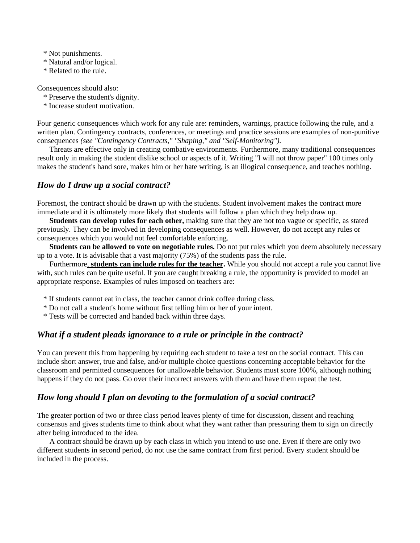\* Not punishments.

- \* Natural and/or logical.
- \* Related to the rule.

Consequences should also:

- \* Preserve the student's dignity.
- \* Increase student motivation.

Four generic consequences which work for any rule are: reminders, warnings, practice following the rule, and a written plan. Contingency contracts, conferences, or meetings and practice sessions are examples of non-punitive consequences *(see "Contingency Contracts," "Shaping," and "Self-Monitoring").*

Threats are effective only in creating combative environments. Furthermore, many traditional consequences result only in making the student dislike school or aspects of it. Writing "I will not throw paper" 100 times only makes the student's hand sore, makes him or her hate writing, is an illogical consequence, and teaches nothing.

#### *How do I draw up a social contract?*

Foremost, the contract should be drawn up with the students. Student involvement makes the contract more immediate and it is ultimately more likely that students will follow a plan which they help draw up.

**Students can develop rules for each other,** making sure that they are not too vague or specific, as stated previously. They can be involved in developing consequences as well. However, do not accept any rules or consequences which you would not feel comfortable enforcing.

**Students can be allowed to vote on negotiable rules.** Do not put rules which you deem absolutely necessary up to a vote. It is advisable that a vast majority (75%) of the students pass the rule.

Furthermore, **students can include rules for the teacher.** While you should not accept a rule you cannot live with, such rules can be quite useful. If you are caught breaking a rule, the opportunity is provided to model an appropriate response. Examples of rules imposed on teachers are:

- \* If students cannot eat in class, the teacher cannot drink coffee during class.
- \* Do not call a student's home without first telling him or her of your intent.
- \* Tests will be corrected and handed back within three days.

## *What if a student pleads ignorance to a rule or principle in the contract?*

You can prevent this from happening by requiring each student to take a test on the social contract. This can include short answer, true and false, and/or multiple choice questions concerning acceptable behavior for the classroom and permitted consequences for unallowable behavior. Students must score 100%, although nothing happens if they do not pass. Go over their incorrect answers with them and have them repeat the test.

## *How long should I plan on devoting to the formulation of a social contract?*

The greater portion of two or three class period leaves plenty of time for discussion, dissent and reaching consensus and gives students time to think about what they want rather than pressuring them to sign on directly after being introduced to the idea.

A contract should be drawn up by each class in which you intend to use one. Even if there are only two different students in second period, do not use the same contract from first period. Every student should be included in the process.